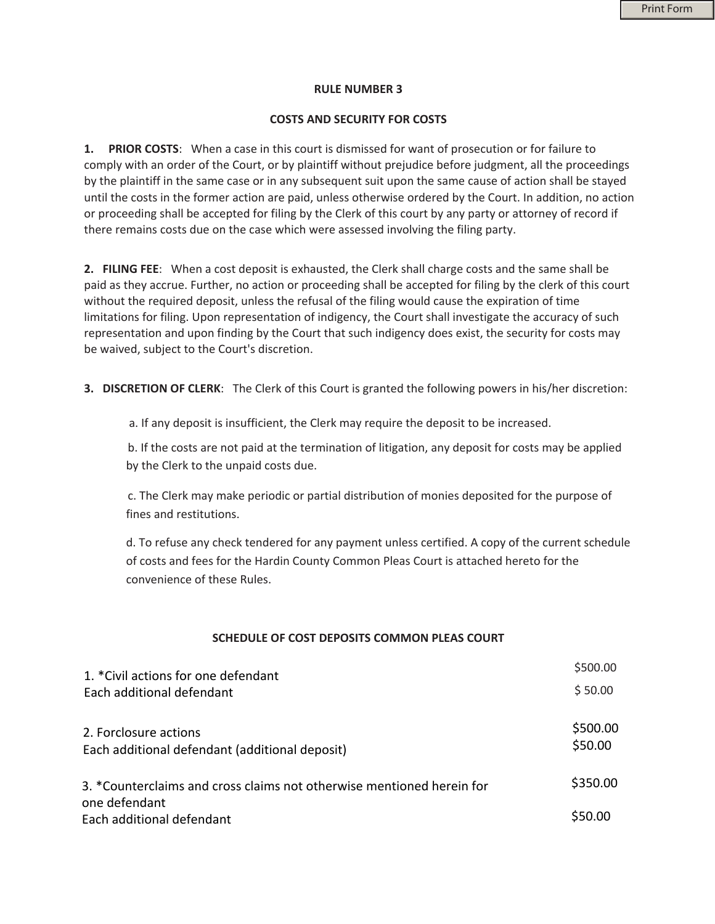## **RULE NUMBER 3**

## **COSTS AND SECURITY FOR COSTS**

**1. PRIOR COSTS**: When a case in this court is dismissed for want of prosecution or for failure to comply with an order of the Court, or by plaintiff without prejudice before judgment, all the proceedings by the plaintiff in the same case or in any subsequent suit upon the same cause of action shall be stayed until the costs in the former action are paid, unless otherwise ordered by the Court. In addition, no action or proceeding shall be accepted for filing by the Clerk of this court by any party or attorney of record if there remains costs due on the case which were assessed involving the filing party.

**2. FILING FEE**: When a cost deposit is exhausted, the Clerk shall charge costs and the same shall be paid as they accrue. Further, no action or proceeding shall be accepted for filing by the clerk of this court without the required deposit, unless the refusal of the filing would cause the expiration of time limitations for filing. Upon representation of indigency, the Court shall investigate the accuracy of such representation and upon finding by the Court that such indigency does exist, the security for costs may be waived, subject to the Court's discretion.

**3. DISCRETION OF CLERK**: The Clerk of this Court is granted the following powers in his/her discretion:

a. If any deposit is insufficient, the Clerk may require the deposit to be increased.

b. If the costs are not paid at the termination of litigation, any deposit for costs may be applied by the Clerk to the unpaid costs due.

c. The Clerk may make periodic or partial distribution of monies deposited for the purpose of fines and restitutions.

d. To refuse any check tendered for any payment unless certified. A copy of the current schedule of costs and fees for the Hardin County Common Pleas Court is attached hereto for the convenience of these Rules.

# **SCHEDULE OF COST DEPOSITS COMMON PLEAS COURT**

| 1. *Civil actions for one defendant                                     | \$500.00            |
|-------------------------------------------------------------------------|---------------------|
| Each additional defendant                                               | \$50.00             |
| 2. Forclosure actions<br>Each additional defendant (additional deposit) | \$500.00<br>\$50.00 |
| 3. *Counterclaims and cross claims not otherwise mentioned herein for   | \$350.00            |
| one defendant<br>Each additional defendant                              | \$50.00             |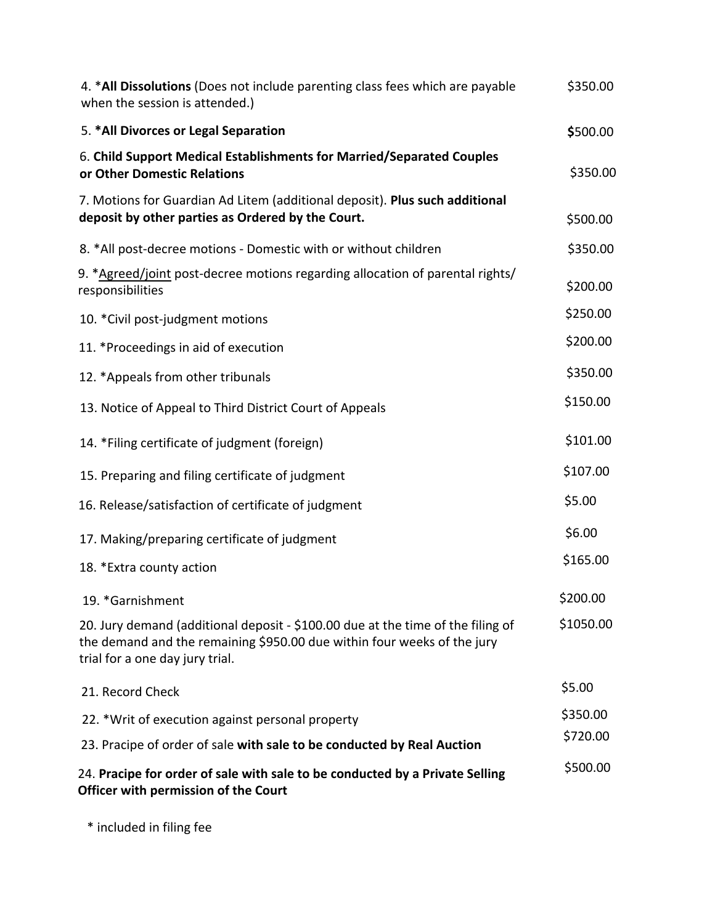| 4. *All Dissolutions (Does not include parenting class fees which are payable<br>when the session is attended.)                                                                               | \$350.00  |
|-----------------------------------------------------------------------------------------------------------------------------------------------------------------------------------------------|-----------|
| 5. *All Divorces or Legal Separation                                                                                                                                                          | \$500.00  |
| 6. Child Support Medical Establishments for Married/Separated Couples<br>or Other Domestic Relations                                                                                          | \$350.00  |
| 7. Motions for Guardian Ad Litem (additional deposit). Plus such additional<br>deposit by other parties as Ordered by the Court.                                                              | \$500.00  |
| 8. *All post-decree motions - Domestic with or without children                                                                                                                               | \$350.00  |
| 9. *Agreed/joint post-decree motions regarding allocation of parental rights/<br>responsibilities                                                                                             | \$200.00  |
| 10. *Civil post-judgment motions                                                                                                                                                              | \$250.00  |
| 11. *Proceedings in aid of execution                                                                                                                                                          | \$200.00  |
| 12. *Appeals from other tribunals                                                                                                                                                             | \$350.00  |
| 13. Notice of Appeal to Third District Court of Appeals                                                                                                                                       | \$150.00  |
| 14. *Filing certificate of judgment (foreign)                                                                                                                                                 | \$101.00  |
| 15. Preparing and filing certificate of judgment                                                                                                                                              | \$107.00  |
| 16. Release/satisfaction of certificate of judgment                                                                                                                                           | \$5.00    |
| 17. Making/preparing certificate of judgment                                                                                                                                                  | \$6.00    |
| 18. * Extra county action                                                                                                                                                                     | \$165.00  |
| 19. *Garnishment                                                                                                                                                                              | \$200.00  |
| 20. Jury demand (additional deposit - \$100.00 due at the time of the filing of<br>the demand and the remaining \$950.00 due within four weeks of the jury<br>trial for a one day jury trial. | \$1050.00 |
| 21. Record Check                                                                                                                                                                              | \$5.00    |
| 22. *Writ of execution against personal property                                                                                                                                              | \$350.00  |
| 23. Pracipe of order of sale with sale to be conducted by Real Auction                                                                                                                        | \$720.00  |
| 24. Pracipe for order of sale with sale to be conducted by a Private Selling<br>Officer with permission of the Court                                                                          | \$500.00  |

\* included in filing fee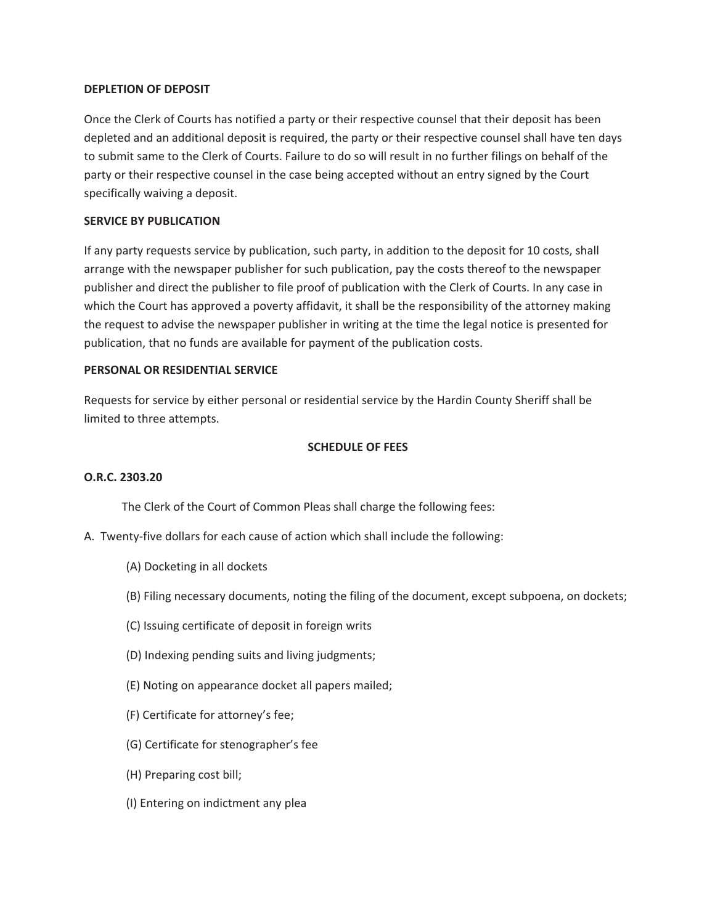# **DEPLETION OF DEPOSIT**

Once the Clerk of Courts has notified a party or their respective counsel that their deposit has been depleted and an additional deposit is required, the party or their respective counsel shall have ten days to submit same to the Clerk of Courts. Failure to do so will result in no further filings on behalf of the party or their respective counsel in the case being accepted without an entry signed by the Court specifically waiving a deposit.

# **SERVICE BY PUBLICATION**

If any party requests service by publication, such party, in addition to the deposit for 10 costs, shall arrange with the newspaper publisher for such publication, pay the costs thereof to the newspaper publisher and direct the publisher to file proof of publication with the Clerk of Courts. In any case in which the Court has approved a poverty affidavit, it shall be the responsibility of the attorney making the request to advise the newspaper publisher in writing at the time the legal notice is presented for publication, that no funds are available for payment of the publication costs.

# **PERSONAL OR RESIDENTIAL SERVICE**

Requests for service by either personal or residential service by the Hardin County Sheriff shall be limited to three attempts.

# **SCHEDULE OF FEES**

### **O.R.C. 2303.20**

The Clerk of the Court of Common Pleas shall charge the following fees:

- A. Twenty-five dollars for each cause of action which shall include the following:
	- (A) Docketing in all dockets
	- (B) Filing necessary documents, noting the filing of the document, except subpoena, on dockets;
	- (C) Issuing certificate of deposit in foreign writs
	- (D) Indexing pending suits and living judgments;
	- (E) Noting on appearance docket all papers mailed;
	- (F) Certificate for attorney's fee;
	- (G) Certificate for stenographer's fee
	- (H) Preparing cost bill;
	- (I) Entering on indictment any plea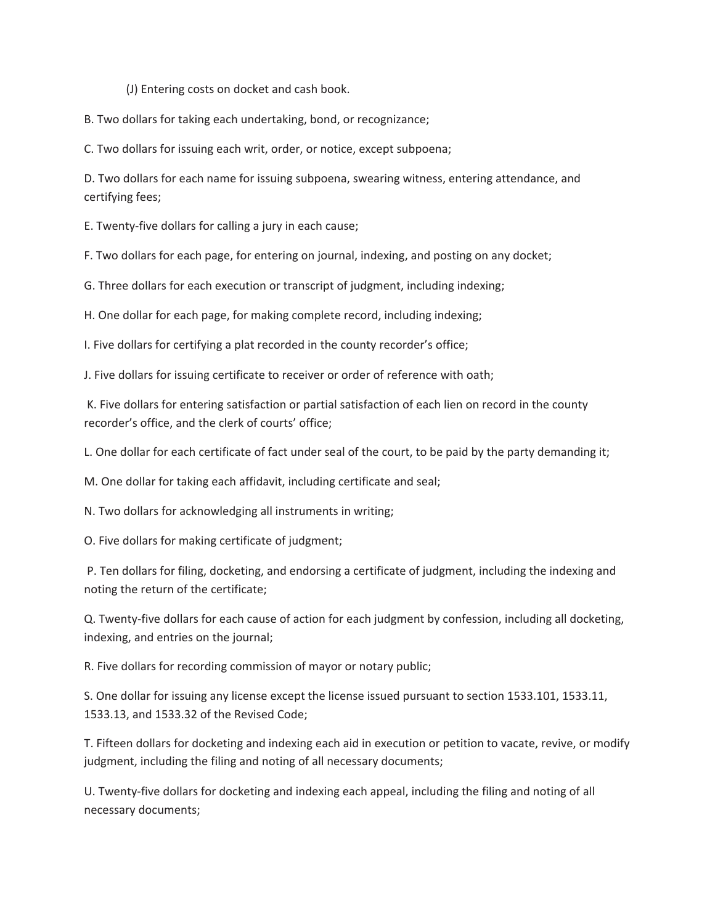(J) Entering costs on docket and cash book.

B. Two dollars for taking each undertaking, bond, or recognizance;

C. Two dollars for issuing each writ, order, or notice, except subpoena;

D. Two dollars for each name for issuing subpoena, swearing witness, entering attendance, and certifying fees;

E. Twenty-five dollars for calling a jury in each cause;

F. Two dollars for each page, for entering on journal, indexing, and posting on any docket;

G. Three dollars for each execution or transcript of judgment, including indexing;

H. One dollar for each page, for making complete record, including indexing;

I. Five dollars for certifying a plat recorded in the county recorder's office;

J. Five dollars for issuing certificate to receiver or order of reference with oath;

 K. Five dollars for entering satisfaction or partial satisfaction of each lien on record in the county recorder's office, and the clerk of courts' office;

L. One dollar for each certificate of fact under seal of the court, to be paid by the party demanding it;

M. One dollar for taking each affidavit, including certificate and seal;

N. Two dollars for acknowledging all instruments in writing;

O. Five dollars for making certificate of judgment;

 P. Ten dollars for filing, docketing, and endorsing a certificate of judgment, including the indexing and noting the return of the certificate;

Q. Twenty-five dollars for each cause of action for each judgment by confession, including all docketing, indexing, and entries on the journal;

R. Five dollars for recording commission of mayor or notary public;

S. One dollar for issuing any license except the license issued pursuant to section 1533.101, 1533.11, 1533.13, and 1533.32 of the Revised Code;

T. Fifteen dollars for docketing and indexing each aid in execution or petition to vacate, revive, or modify judgment, including the filing and noting of all necessary documents;

U. Twenty-five dollars for docketing and indexing each appeal, including the filing and noting of all necessary documents;